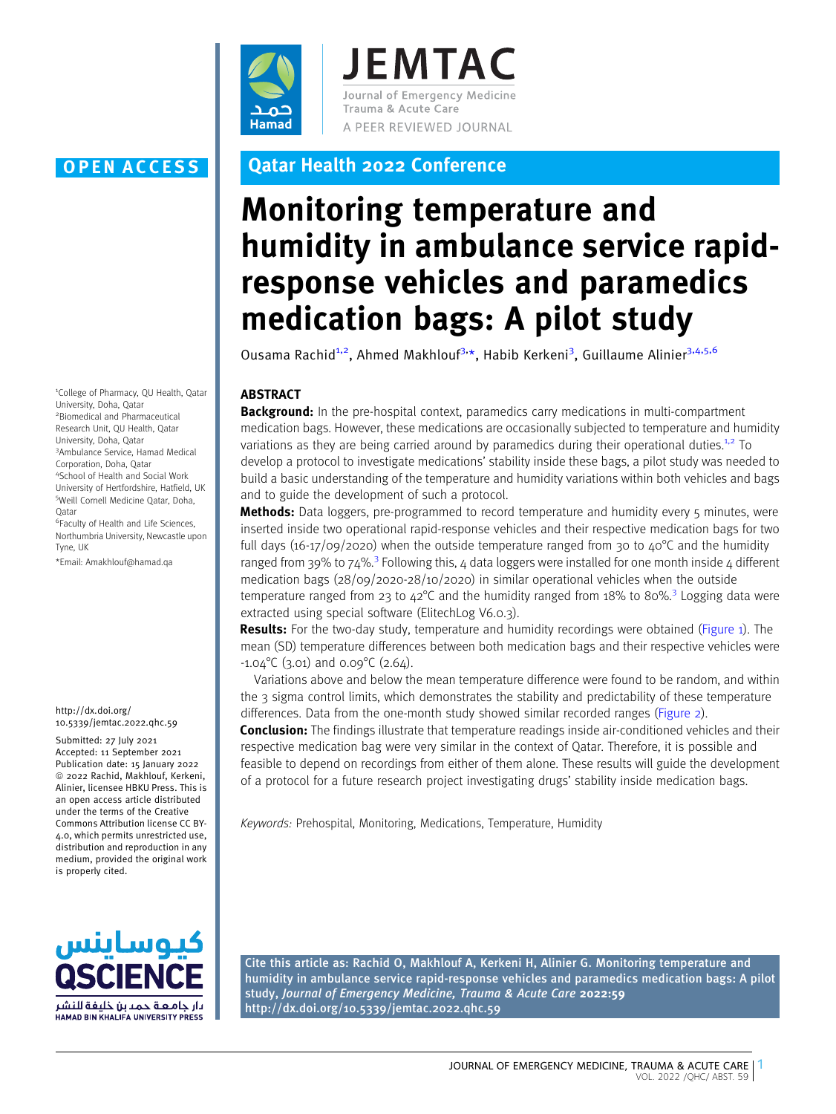

**JEMTAC** Journal of Emergency Medicine Trauma & Acute Care A PEER REVIEWED JOURNAL

1 College of Pharmacy, QU Health, Qatar University, Doha, Qatar 2 Biomedical and Pharmaceutical Research Unit, QU Health, Qatar University, Doha, Qatar 3 Ambulance Service, Hamad Medical Corporation, Doha, Qatar 4 School of Health and Social Work University of Hertfordshire, Hatfield, UK 5 Weill Cornell Medicine Qatar, Doha, **Oatar** 6 Faculty of Health and Life Sciences,

Northumbria University, Newcastle upon Tyne, UK \*Email: Amakhlouf@hamad.qa

http://dx.doi.org/ 10.5339/jemtac.2022.qhc.59

Submitted: 27 July 2021 Accepted: 11 September 2021 Publication date: 15 January 2022 ª 2022 Rachid, Makhlouf, Kerkeni, Alinier, licensee HBKU Press. This is an open access article distributed under the terms of the Creative Commons Attribution license CC BY-4.0, which permits unrestricted use, distribution and reproduction in any medium, provided the original work is properly cited.



# OPEN ACCESS Qatar Health 2022 Conference

# Monitoring temperature and humidity in ambulance service rapidresponse vehicles and paramedics medication bags: A pilot study

Ousama Rachid<sup>1,2</sup>, Ahmed Makhlouf<sup>3,\*</sup>, Habib Kerkeni<sup>3</sup>, Guillaume Alinier<sup>3,4,5,6</sup>

## ABSTRACT

**Background:** In the pre-hospital context, paramedics carry medications in multi-compartment medication bags. However, these medications are occasionally subjected to temperature and humidity variations as they are being carried around by paramedics during their operational duties.<sup>1,2</sup> [To](#page-2-0) [develop a protocol to investigate medications' stability inside these bags, a pilot study was needed to](#page-2-0) [build a basic understanding of the temperature and humidity variations within both vehicles and bags](#page-2-0) [and to guide the development of such a protocol.](#page-2-0)

**[Me](#page-2-0)thods:** [Data loggers, pre-programmed to record temperature and humidity every 5 minutes, were](#page-2-0) [inserted inside two operational rapid-response vehicles and their respective medication bags for two](#page-2-0) full days (16-17/09/2020) when the outside temperature ranged from 30 to  $40^{\circ}$ C and the humidity [ranged](#page-2-0) [from](#page-2-0) [39%](#page-2-0) [to](#page-2-0) [74%.](#page-2-0)<sup>3</sup> [Following this, 4 data loggers were installed for one month inside 4 different](#page-2-0) [medication bags \(28/09/2020-28/10/2020\) in similar operational vehicles when the outside](#page-2-0) temperature [ranged](#page-2-0) [from](#page-2-0) 23 [to](#page-2-0)  $42^{\circ}$ [C](#page-2-0) [and](#page-2-0) [the](#page-2-0) [humidity](#page-2-0) ranged from [18%](#page-2-0) to [80%.](#page-2-0)<sup>3</sup> [Logging data were](#page-2-0) [extracted using special software \(ElitechLog V6.0.3\).](#page-2-0)

[Re](#page-2-0)sults: [For the two-day study, temperature and humidity recordings were obtained \(Figure 1\). The](#page-1-0) [mean \(SD\) temperature differences between both medication bags and their respective vehicles were](#page-1-0)  $-1.04^{\circ}$ [C \(3.01\) and 0.09](#page-1-0) $^{\circ}$ C (2.64).

[Variations above and below the mean temperature difference were found to be random, and within](#page-1-0) [the 3 sigma control limits, which demonstrates the stability and predictability of these temperature](#page-1-0) [differences. Data from the one-month study showed similar recorded ranges \(Figure 2\).](#page-2-0)

**[Co](#page-2-0)nclusion:** [The findings illustrate that temperature readings inside air-conditioned vehicles and their](#page-2-0) [respective medication bag were very similar in the context of Qatar. Therefore, it is possible and](#page-2-0) [feasible to depend on recordings from either of them alone. These results will guide the development](#page-2-0) [of a protocol for a future research project investigating drugs' stability inside medication bags.](#page-2-0)

Keywords: Prehospital, Monitoring, Medications, Temperature, Humidity

Cite this article as: Rachid O, Makhlouf A, Kerkeni H, Alinier G. Monitoring temperature and humidity in ambulance service rapid-response vehicles and paramedics medication bags: A pilot study, Journal of Emergency Medicine, Trauma & Acute Care 2022:59 http://dx.doi.org/10.5339/jemtac.2022.qhc.59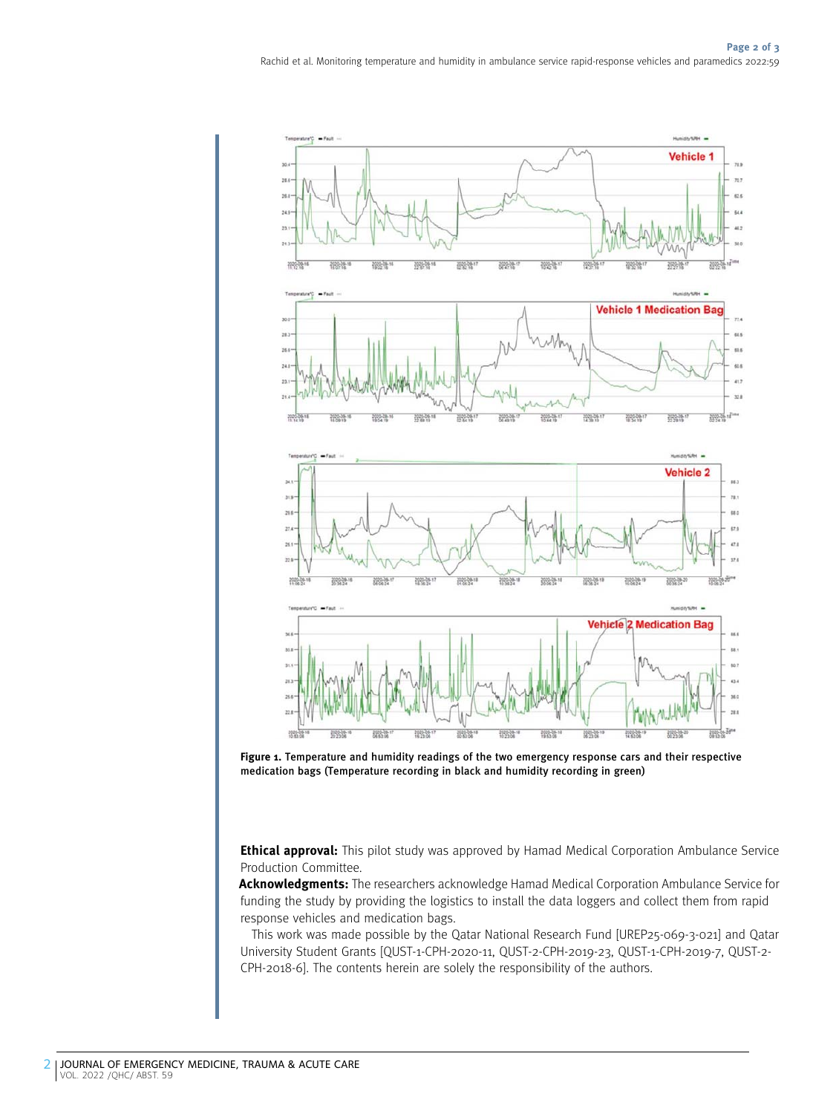<span id="page-1-0"></span>

Figure 1. Temperature and humidity readings of the two emergency response cars and their respective medication bags (Temperature recording in black and humidity recording in green)

**Ethical approval:** This pilot study was approved by Hamad Medical Corporation Ambulance Service Production Committee.

Acknowledgments: The researchers acknowledge Hamad Medical Corporation Ambulance Service for funding the study by providing the logistics to install the data loggers and collect them from rapid response vehicles and medication bags.

This work was made possible by the Qatar National Research Fund [UREP25-069-3-021] and Qatar University Student Grants [QUST-1-CPH-2020-11, QUST-2-CPH-2019-23, QUST-1-CPH-2019-7, QUST-2- CPH-2018-6]. The contents herein are solely the responsibility of the authors.